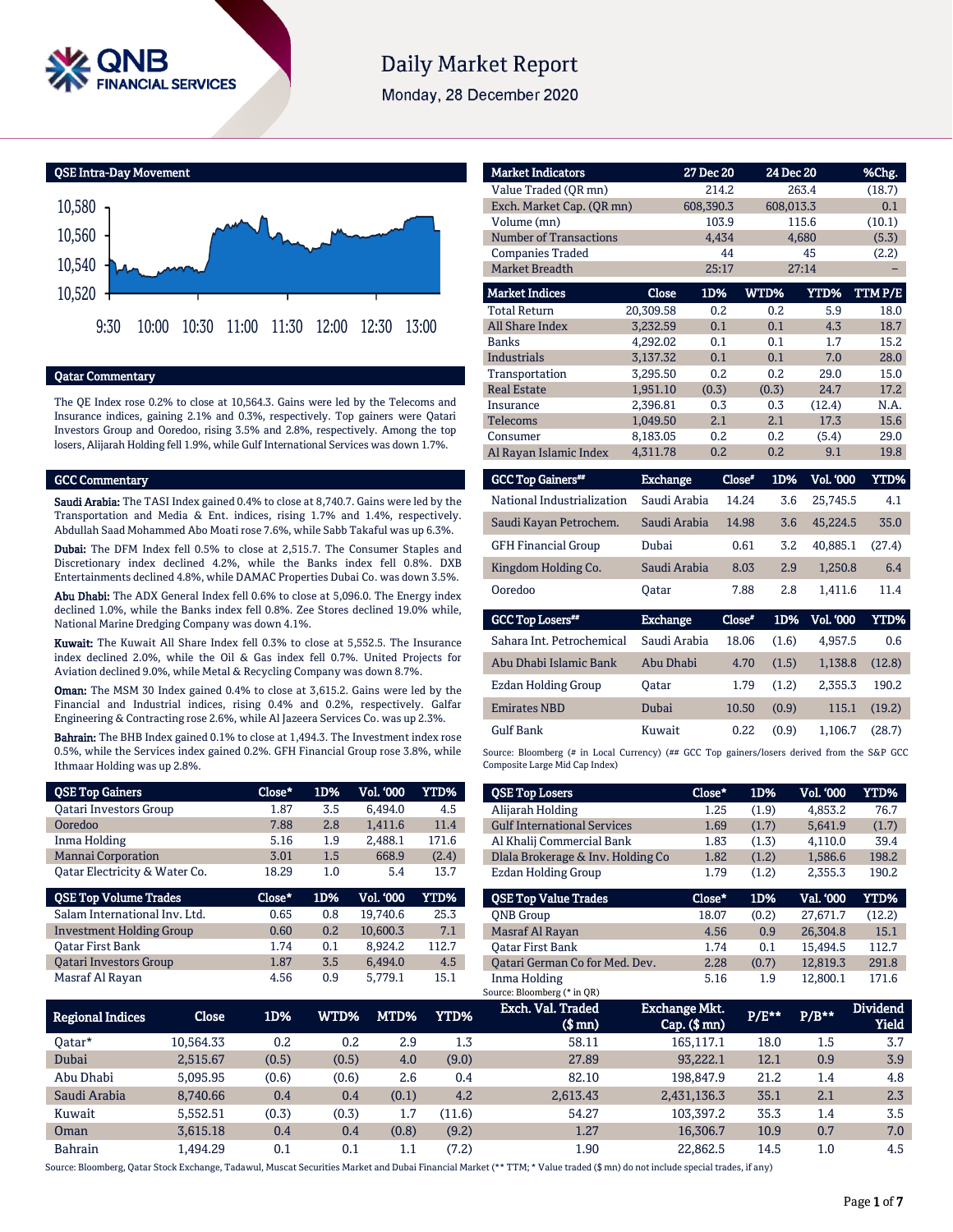

# **Daily Market Report**

Monday, 28 December 2020

QSE Intra-Day Movement



### Qatar Commentary

The QE Index rose 0.2% to close at 10,564.3. Gains were led by the Telecoms and Insurance indices, gaining 2.1% and 0.3%, respectively. Top gainers were Qatari Investors Group and Ooredoo, rising 3.5% and 2.8%, respectively. Among the top losers, Alijarah Holding fell 1.9%, while Gulf International Services was down 1.7%.

### GCC Commentary

Saudi Arabia: The TASI Index gained 0.4% to close at 8,740.7. Gains were led by the Transportation and Media & Ent. indices, rising 1.7% and 1.4%, respectively. Abdullah Saad Mohammed Abo Moati rose 7.6%, while Sabb Takaful was up 6.3%.

Dubai: The DFM Index fell 0.5% to close at 2,515.7. The Consumer Staples and Discretionary index declined 4.2%, while the Banks index fell 0.8%. DXB Entertainments declined 4.8%, while DAMAC Properties Dubai Co. was down 3.5%.

Abu Dhabi: The ADX General Index fell 0.6% to close at 5,096.0. The Energy index declined 1.0%, while the Banks index fell 0.8%. Zee Stores declined 19.0% while, National Marine Dredging Company was down 4.1%.

Kuwait: The Kuwait All Share Index fell 0.3% to close at 5,552.5. The Insurance index declined 2.0%, while the Oil & Gas index fell 0.7%. United Projects for Aviation declined 9.0%, while Metal & Recycling Company was down 8.7%.

Oman: The MSM 30 Index gained 0.4% to close at 3,615.2. Gains were led by the Financial and Industrial indices, rising 0.4% and 0.2%, respectively. Galfar Engineering & Contracting rose 2.6%, while Al Jazeera Services Co. was up 2.3%.

Bahrain: The BHB Index gained 0.1% to close at 1,494.3. The Investment index rose 0.5%, while the Services index gained 0.2%. GFH Financial Group rose 3.8%, while Ithmaar Holding was up 2.8%.

| <b>QSE Top Gainers</b>          | Close* | 1D% | Vol. '000 | YTD%  |
|---------------------------------|--------|-----|-----------|-------|
| <b>Oatari Investors Group</b>   | 1.87   | 3.5 | 6.494.0   | 4.5   |
| Ooredoo                         | 7.88   | 2.8 | 1,411.6   | 11.4  |
| Inma Holding                    | 5.16   | 1.9 | 2,488.1   | 171.6 |
| <b>Mannai Corporation</b>       | 3.01   | 1.5 | 668.9     | (2.4) |
| Qatar Electricity & Water Co.   | 18.29  | 1.0 | 5.4       | 13.7  |
|                                 |        |     |           |       |
| <b>QSE Top Volume Trades</b>    | Close* | 1D% | Vol. '000 | YTD%  |
| Salam International Inv. Ltd.   | 0.65   | 0.8 | 19.740.6  | 25.3  |
| <b>Investment Holding Group</b> | 0.60   | 0.2 | 10,600.3  | 7.1   |
| Oatar First Bank                | 1.74   | 0.1 | 8.924.2   | 112.7 |
| <b>Oatari Investors Group</b>   | 1.87   | 3.5 | 6,494.0   | 4.5   |

| <b>Market Indicators</b>      |                 | 27 Dec 20 |               | 24 Dec 20       | %Chg.   |
|-------------------------------|-----------------|-----------|---------------|-----------------|---------|
| Value Traded (OR mn)          |                 | 214.2     |               | 263.4           | (18.7)  |
| Exch. Market Cap. (OR mn)     |                 | 608,390.3 |               | 608.013.3       | 0.1     |
| Volume (mn)                   |                 | 103.9     |               | 115.6           | (10.1)  |
| <b>Number of Transactions</b> |                 | 4.434     |               | 4,680           | (5.3)   |
| <b>Companies Traded</b>       |                 | 44        |               | 45              | (2.2)   |
| Market Breadth                |                 | 25:17     |               | 27:14           |         |
| <b>Market Indices</b>         | <b>Close</b>    | 1D%       | WTD%          | <b>YTD%</b>     | TTM P/E |
| <b>Total Return</b>           | 20,309.58       | 0.2       | 0.2           | 5.9             | 18.0    |
| <b>All Share Index</b>        | 3.232.59        | 0.1       | 0.1           | 4.3             | 18.7    |
| <b>Banks</b>                  | 4,292.02        | 0.1       | 0.1           | 1.7             | 15.2    |
| <b>Industrials</b>            | 3.137.32        | 0.1       | 0.1           | 7.0             | 28.0    |
| Transportation                | 3,295.50        | 0.2       | 0.2           | 29.0            | 15.0    |
| <b>Real Estate</b>            | 1,951.10        | (0.3)     | (0.3)         | 24.7            | 17.2    |
| Insurance                     | 2.396.81        | 0.3       | 0.3           | (12.4)          | N.A.    |
| <b>Telecoms</b>               | 1.049.50        | 2.1       | 2.1           | 17.3            | 15.6    |
| Consumer                      | 8.183.05        | 0.2       | 0.2           | (5.4)           | 29.0    |
| Al Rayan Islamic Index        | 4,311.78        | 0.2       | 0.2           | 9.1             | 19.8    |
| <b>GCC Top Gainers**</b>      | <b>Exchange</b> |           | Close*<br>1D% | Vol. '000       | YTD%    |
| National Industrialization    | Saudi Arabia    |           | 14.24         | 3.6<br>25,745.5 | 4.1     |
| Saudi Kayan Petrochem.        | Saudi Arabia    |           | 14.98         | 3.6<br>45.224.5 | 35.0    |
| <b>GFH Financial Group</b>    | Dubai           |           | 0.61          | 3.2<br>40.885.1 | (27.4)  |
| Kingdom Holding Co.           | Saudi Arabia    |           | 8.03          | 2.9<br>1,250.8  | 6.4     |
| Ooredoo                       | <b>Oatar</b>    |           | 7.88          | 2.8<br>1,411.6  | 11.4    |

| <b>GCC Top Losers**</b>   | <b>Exchange</b> | Close" | 1D%   | <b>Vol. '000</b> | YTD%   |
|---------------------------|-----------------|--------|-------|------------------|--------|
| Sahara Int. Petrochemical | Saudi Arabia    | 18.06  | (1.6) | 4.957.5          | 0.6    |
| Abu Dhabi Islamic Bank    | Abu Dhabi       | 4.70   | (1.5) | 1.138.8          | (12.8) |
| Ezdan Holding Group       | Oatar           | 1.79   | (1.2) | 2.355.3          | 190.2  |
| <b>Emirates NBD</b>       | Dubai           | 10.50  | (0.9) | 115.1            | (19.2) |
| <b>Gulf Bank</b>          | Kuwait          | 0.22   | (0.9) | 1.106.7          | (28.7) |

Source: Bloomberg (# in Local Currency) (## GCC Top gainers/losers derived from the S&P GCC Composite Large Mid Cap Index)

| <b>QSE Top Losers</b>              | Close* | 1D%   | <b>Vol. '000</b> | YTD%   |
|------------------------------------|--------|-------|------------------|--------|
| Alijarah Holding                   | 1.25   | (1.9) | 4.853.2          | 76.7   |
| <b>Gulf International Services</b> | 1.69   | (1.7) | 5.641.9          | (1.7)  |
| Al Khalij Commercial Bank          | 1.83   | (1.3) | 4,110.0          | 39.4   |
| Dlala Brokerage & Inv. Holding Co  | 1.82   | (1.2) | 1.586.6          | 198.2  |
| Ezdan Holding Group                | 1.79   | (1.2) | 2,355.3          | 190.2  |
|                                    |        |       |                  |        |
| <b>OSE Top Value Trades</b>        | Close* | 1D%   | Val. '000        | YTD%   |
| <b>ONB</b> Group                   | 18.07  | (0.2) | 27.671.7         | (12.2) |
| Masraf Al Rayan                    | 4.56   | 0.9   | 26.304.8         | 15.1   |
| <b>Oatar First Bank</b>            | 1.74   | 0.1   | 15.494.5         | 112.7  |
| Oatari German Co for Med. Dev.     | 2.28   | (0.7) | 12.819.3         | 291.8  |

| Regional Indices | Close     | 1D%   | WTD%' | MTD%' | YTD%    | Exch. Val. Traded<br>$$$ mn $)$ | <b>Exchange Mkt.</b><br>$Cap.$ ( $$mn)$ | P/E** | $P/B**$ | <b>Dividend</b><br>Yield |
|------------------|-----------|-------|-------|-------|---------|---------------------------------|-----------------------------------------|-------|---------|--------------------------|
| 0atar*           | 10.564.33 | 0.2   | 0.2   | 2.9   | $1.3\,$ | 58.11                           | 165.117.1                               | 18.0  | 1.5     | 3.7                      |
| Dubai            | 2.515.67  | (0.5) | (0.5) | 4.0   | (9.0)   | 27.89                           | 93.222.1                                | 12.1  | 0.9     | 3.9                      |
| Abu Dhabi        | 5.095.95  | (0.6) | (0.6) | 2.6   | 0.4     | 82.10                           | 198.847.9                               | 21.2  | 1.4     | 4.8                      |
| Saudi Arabia     | 8.740.66  | 0.4   | 0.4   | (0.1) | 4.2     | 2,613.43                        | 2,431,136.3                             | 35.1  | 2.1     | 2.3                      |
| Kuwait           | 5.552.51  | (0.3) | (0.3) | 1.7   | 11.6)   | 54.27                           | 103.397.2                               | 35.3  | 1.4     | 3.5                      |
| Oman             | 3.615.18  | 0.4   | 0.4   | (0.8) | (9.2)   | 1.27                            | 16.306.7                                | 10.9  | 0.7     | 7.0                      |
| <b>Bahrain</b>   | 1.494.29  | 0.1   | 0.1   | 1.1   | (7.2)   | 1.90                            | 22.862.5                                | 14.5  | $1.0\,$ | 4.5                      |

Source: Bloomberg, Qatar Stock Exchange, Tadawul, Muscat Securities Market and Dubai Financial Market (\*\* TTM; \* Value traded (\$ mn) do not include special trades, if any)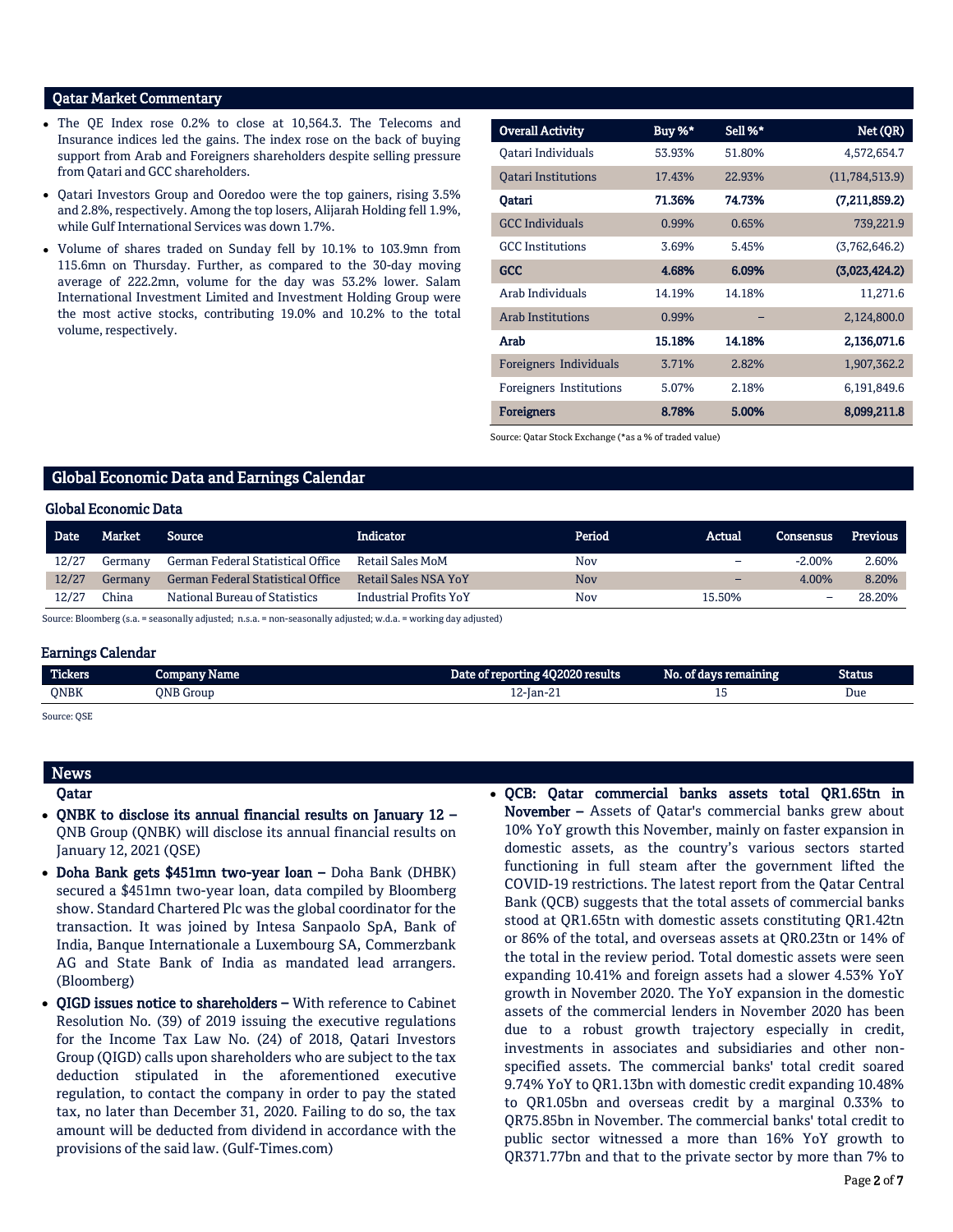## Qatar Market Commentary

- The QE Index rose 0.2% to close at 10,564.3. The Telecoms and Insurance indices led the gains. The index rose on the back of buying support from Arab and Foreigners shareholders despite selling pressure from Qatari and GCC shareholders.
- Qatari Investors Group and Ooredoo were the top gainers, rising 3.5% and 2.8%, respectively. Among the top losers, Alijarah Holding fell 1.9%, while Gulf International Services was down 1.7%.
- Volume of shares traded on Sunday fell by 10.1% to 103.9mn from 115.6mn on Thursday. Further, as compared to the 30-day moving average of 222.2mn, volume for the day was 53.2% lower. Salam International Investment Limited and Investment Holding Group were the most active stocks, contributing 19.0% and 10.2% to the total volume, respectively.

| <b>Overall Activity</b>    | Buy %* | Sell %* | Net (QR)       |
|----------------------------|--------|---------|----------------|
| Qatari Individuals         | 53.93% | 51.80%  | 4,572,654.7    |
| <b>Oatari Institutions</b> | 17.43% | 22.93%  | (11,784,513.9) |
| Oatari                     | 71.36% | 74.73%  | (7,211,859.2)  |
| <b>GCC Individuals</b>     | 0.99%  | 0.65%   | 739,221.9      |
| <b>GCC</b> Institutions    | 3.69%  | 5.45%   | (3,762,646.2)  |
| <b>GCC</b>                 | 4.68%  | 6.09%   | (3,023,424.2)  |
| Arab Individuals           | 14.19% | 14.18%  | 11,271.6       |
| <b>Arab Institutions</b>   | 0.99%  |         | 2,124,800.0    |
| Arab                       | 15.18% | 14.18%  | 2,136,071.6    |
| Foreigners Individuals     | 3.71%  | 2.82%   | 1,907,362.2    |
| Foreigners Institutions    | 5.07%  | 2.18%   | 6,191,849.6    |
| <b>Foreigners</b>          | 8.78%  | 5.00%   | 8,099,211.8    |

Source: Qatar Stock Exchange (\*as a % of traded value)

### Global Economic Data and Earnings Calendar

### Global Economic Data

| Date  | Market  | Source                            | Indicator                   | Period     | Actual                   | Consensus | Previous |  |  |  |
|-------|---------|-----------------------------------|-----------------------------|------------|--------------------------|-----------|----------|--|--|--|
| 12/27 | Germany | German Federal Statistical Office | <b>Retail Sales MoM</b>     | Nov        | -                        | $-2.00%$  | 2.60%    |  |  |  |
| 12/27 | Germany | German Federal Statistical Office | <b>Retail Sales NSA YoY</b> | <b>Nov</b> | $\overline{\phantom{0}}$ | 4.00%     | 8.20%    |  |  |  |
| 12/27 | China   | National Bureau of Statistics     | Industrial Profits YoY      | Nov        | 15.50%                   | -         | 28.20%   |  |  |  |

Source: Bloomberg (s.a. = seasonally adjusted; n.s.a. = non-seasonally adjusted; w.d.a. = working day adjusted)

#### Earnings Calendar

| <b>Tickers</b>    | : Name<br><b>Company</b> | Date of reporting 4Q2020 results | No. of days remaining | Status |
|-------------------|--------------------------|----------------------------------|-----------------------|--------|
| <b>ONBK</b>       | <b>ONB</b> Group         | $12$ -Jan-21                     | ᅩ                     | Due    |
| $\sim$<br>$- - -$ |                          |                                  |                       |        |

Source: QSE

## News

## Qatar

- QNBK to disclose its annual financial results on January 12 QNB Group (QNBK) will disclose its annual financial results on January 12, 2021 (QSE)
- Doha Bank gets \$451mn two-year loan Doha Bank (DHBK) secured a \$451mn two-year loan, data compiled by Bloomberg show. Standard Chartered Plc was the global coordinator for the transaction. It was joined by Intesa Sanpaolo SpA, Bank of India, Banque Internationale a Luxembourg SA, Commerzbank AG and State Bank of India as mandated lead arrangers. (Bloomberg)
- QIGD issues notice to shareholders With reference to Cabinet Resolution No. (39) of 2019 issuing the executive regulations for the Income Tax Law No. (24) of 2018, Qatari Investors Group (QIGD) calls upon shareholders who are subject to the tax deduction stipulated in the aforementioned executive regulation, to contact the company in order to pay the stated tax, no later than December 31, 2020. Failing to do so, the tax amount will be deducted from dividend in accordance with the provisions of the said law. (Gulf-Times.com)
- QCB: Qatar commercial banks assets total QR1.65tn in November – Assets of Qatar's commercial banks grew about 10% YoY growth this November, mainly on faster expansion in domestic assets, as the country's various sectors started functioning in full steam after the government lifted the COVID-19 restrictions. The latest report from the Qatar Central Bank (QCB) suggests that the total assets of commercial banks stood at QR1.65tn with domestic assets constituting QR1.42tn or 86% of the total, and overseas assets at QR0.23tn or 14% of the total in the review period. Total domestic assets were seen expanding 10.41% and foreign assets had a slower 4.53% YoY growth in November 2020. The YoY expansion in the domestic assets of the commercial lenders in November 2020 has been due to a robust growth trajectory especially in credit, investments in associates and subsidiaries and other nonspecified assets. The commercial banks' total credit soared 9.74% YoY to QR1.13bn with domestic credit expanding 10.48% to QR1.05bn and overseas credit by a marginal 0.33% to QR75.85bn in November. The commercial banks' total credit to public sector witnessed a more than 16% YoY growth to QR371.77bn and that to the private sector by more than 7% to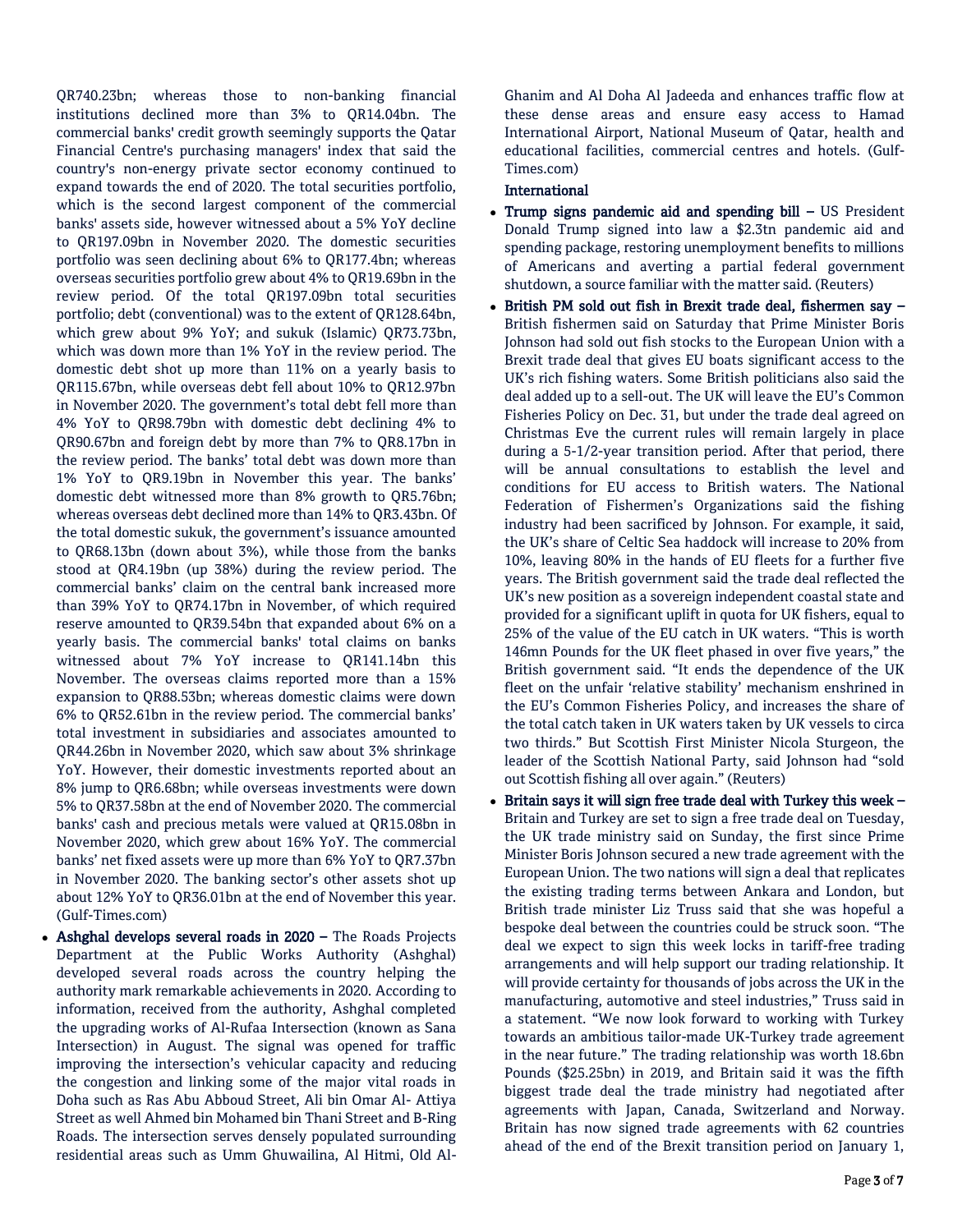QR740.23bn; whereas those to non-banking financial institutions declined more than 3% to QR14.04bn. The commercial banks' credit growth seemingly supports the Qatar Financial Centre's purchasing managers' index that said the country's non-energy private sector economy continued to expand towards the end of 2020. The total securities portfolio, which is the second largest component of the commercial banks' assets side, however witnessed about a 5% YoY decline to QR197.09bn in November 2020. The domestic securities portfolio was seen declining about 6% to QR177.4bn; whereas overseas securities portfolio grew about 4% to QR19.69bn in the review period. Of the total QR197.09bn total securities portfolio; debt (conventional) was to the extent of QR128.64bn, which grew about 9% YoY; and sukuk (Islamic) QR73.73bn, which was down more than 1% YoY in the review period. The domestic debt shot up more than 11% on a yearly basis to QR115.67bn, while overseas debt fell about 10% to QR12.97bn in November 2020. The government's total debt fell more than 4% YoY to QR98.79bn with domestic debt declining 4% to QR90.67bn and foreign debt by more than 7% to QR8.17bn in the review period. The banks' total debt was down more than 1% YoY to QR9.19bn in November this year. The banks' domestic debt witnessed more than 8% growth to QR5.76bn; whereas overseas debt declined more than 14% to QR3.43bn. Of the total domestic sukuk, the government's issuance amounted to QR68.13bn (down about 3%), while those from the banks stood at QR4.19bn (up 38%) during the review period. The commercial banks' claim on the central bank increased more than 39% YoY to QR74.17bn in November, of which required reserve amounted to QR39.54bn that expanded about 6% on a yearly basis. The commercial banks' total claims on banks witnessed about 7% YoY increase to QR141.14bn this November. The overseas claims reported more than a 15% expansion to QR88.53bn; whereas domestic claims were down 6% to QR52.61bn in the review period. The commercial banks' total investment in subsidiaries and associates amounted to QR44.26bn in November 2020, which saw about 3% shrinkage YoY. However, their domestic investments reported about an 8% jump to QR6.68bn; while overseas investments were down 5% to QR37.58bn at the end of November 2020. The commercial banks' cash and precious metals were valued at QR15.08bn in November 2020, which grew about 16% YoY. The commercial banks' net fixed assets were up more than 6% YoY to QR7.37bn in November 2020. The banking sector's other assets shot up about 12% YoY to QR36.01bn at the end of November this year. (Gulf-Times.com)

• Ashghal develops several roads in 2020 – The Roads Projects Department at the Public Works Authority (Ashghal) developed several roads across the country helping the authority mark remarkable achievements in 2020. According to information, received from the authority, Ashghal completed the upgrading works of Al-Rufaa Intersection (known as Sana Intersection) in August. The signal was opened for traffic improving the intersection's vehicular capacity and reducing the congestion and linking some of the major vital roads in Doha such as Ras Abu Abboud Street, Ali bin Omar Al- Attiya Street as well Ahmed bin Mohamed bin Thani Street and B-Ring Roads. The intersection serves densely populated surrounding residential areas such as Umm Ghuwailina, Al Hitmi, Old AlGhanim and Al Doha Al Jadeeda and enhances traffic flow at these dense areas and ensure easy access to Hamad International Airport, National Museum of Qatar, health and educational facilities, commercial centres and hotels. (Gulf-Times.com)

### International

- Trump signs pandemic aid and spending bill US President Donald Trump signed into law a \$2.3tn pandemic aid and spending package, restoring unemployment benefits to millions of Americans and averting a partial federal government shutdown, a source familiar with the matter said. (Reuters)
- British PM sold out fish in Brexit trade deal, fishermen say British fishermen said on Saturday that Prime Minister Boris Johnson had sold out fish stocks to the European Union with a Brexit trade deal that gives EU boats significant access to the UK's rich fishing waters. Some British politicians also said the deal added up to a sell-out. The UK will leave the EU's Common Fisheries Policy on Dec. 31, but under the trade deal agreed on Christmas Eve the current rules will remain largely in place during a 5-1/2-year transition period. After that period, there will be annual consultations to establish the level and conditions for EU access to British waters. The National Federation of Fishermen's Organizations said the fishing industry had been sacrificed by Johnson. For example, it said, the UK's share of Celtic Sea haddock will increase to 20% from 10%, leaving 80% in the hands of EU fleets for a further five years. The British government said the trade deal reflected the UK's new position as a sovereign independent coastal state and provided for a significant uplift in quota for UK fishers, equal to 25% of the value of the EU catch in UK waters. "This is worth 146mn Pounds for the UK fleet phased in over five years," the British government said. "It ends the dependence of the UK fleet on the unfair 'relative stability' mechanism enshrined in the EU's Common Fisheries Policy, and increases the share of the total catch taken in UK waters taken by UK vessels to circa two thirds." But Scottish First Minister Nicola Sturgeon, the leader of the Scottish National Party, said Johnson had "sold out Scottish fishing all over again." (Reuters)
- Britain says it will sign free trade deal with Turkey this week Britain and Turkey are set to sign a free trade deal on Tuesday, the UK trade ministry said on Sunday, the first since Prime Minister Boris Johnson secured a new trade agreement with the European Union. The two nations will sign a deal that replicates the existing trading terms between Ankara and London, but British trade minister Liz Truss said that she was hopeful a bespoke deal between the countries could be struck soon. "The deal we expect to sign this week locks in tariff-free trading arrangements and will help support our trading relationship. It will provide certainty for thousands of jobs across the UK in the manufacturing, automotive and steel industries," Truss said in a statement. "We now look forward to working with Turkey towards an ambitious tailor-made UK-Turkey trade agreement in the near future." The trading relationship was worth 18.6bn Pounds (\$25.25bn) in 2019, and Britain said it was the fifth biggest trade deal the trade ministry had negotiated after agreements with Japan, Canada, Switzerland and Norway. Britain has now signed trade agreements with 62 countries ahead of the end of the Brexit transition period on January 1,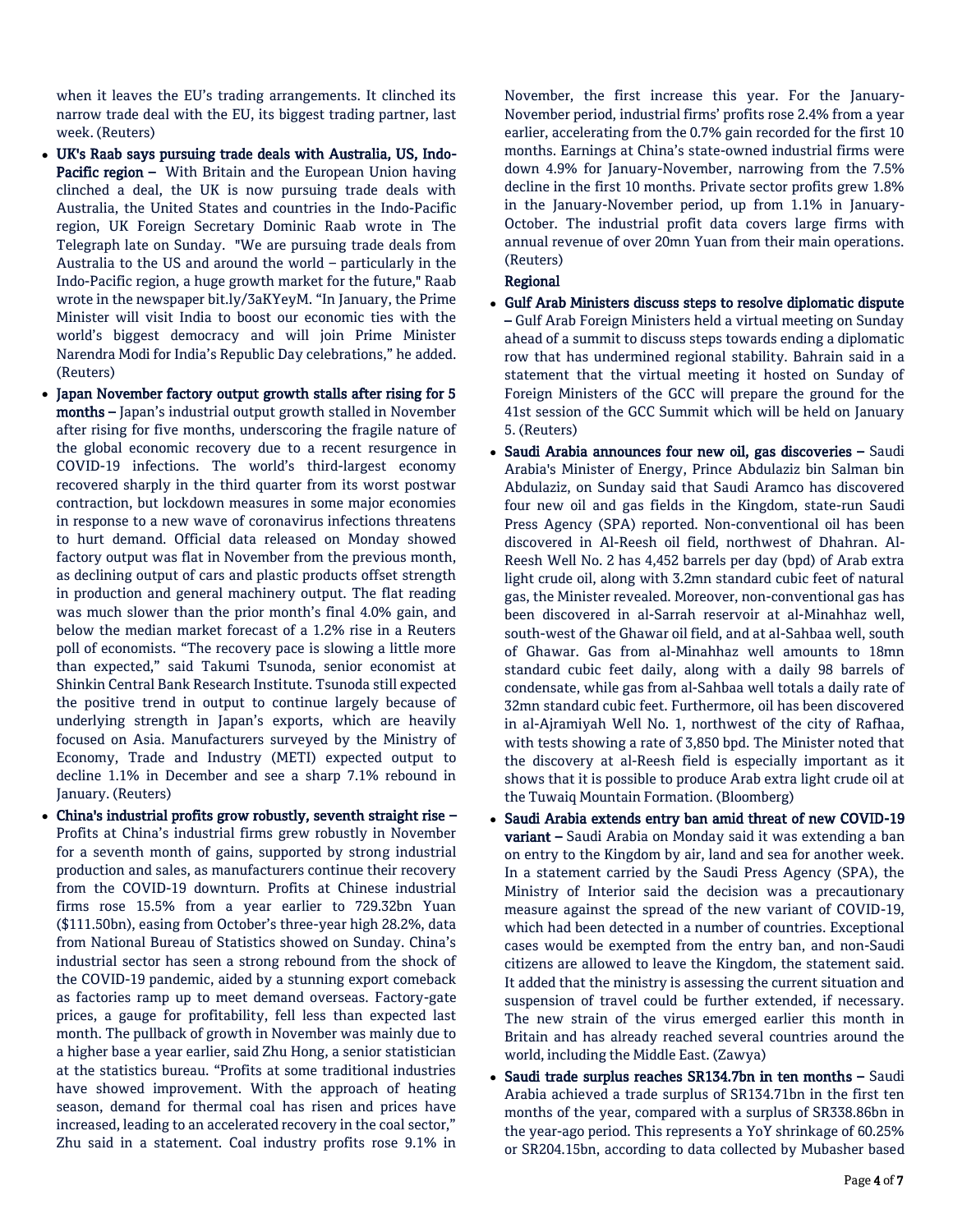when it leaves the EU's trading arrangements. It clinched its narrow trade deal with the EU, its biggest trading partner, last week. (Reuters)

- UK's Raab says pursuing trade deals with Australia, US, Indo-Pacific region - With Britain and the European Union having clinched a deal, the UK is now pursuing trade deals with Australia, the United States and countries in the Indo-Pacific region, UK Foreign Secretary Dominic Raab wrote in The Telegraph late on Sunday. "We are pursuing trade deals from Australia to the US and around the world – particularly in the Indo-Pacific region, a huge growth market for the future," Raab wrote in the newspaper bit.ly/3aKYeyM. "In January, the Prime Minister will visit India to boost our economic ties with the world's biggest democracy and will join Prime Minister Narendra Modi for India's Republic Day celebrations," he added. (Reuters)
- Japan November factory output growth stalls after rising for 5 months – Japan's industrial output growth stalled in November after rising for five months, underscoring the fragile nature of the global economic recovery due to a recent resurgence in COVID-19 infections. The world's third-largest economy recovered sharply in the third quarter from its worst postwar contraction, but lockdown measures in some major economies in response to a new wave of coronavirus infections threatens to hurt demand. Official data released on Monday showed factory output was flat in November from the previous month, as declining output of cars and plastic products offset strength in production and general machinery output. The flat reading was much slower than the prior month's final 4.0% gain, and below the median market forecast of a 1.2% rise in a Reuters poll of economists. "The recovery pace is slowing a little more than expected," said Takumi Tsunoda, senior economist at Shinkin Central Bank Research Institute. Tsunoda still expected the positive trend in output to continue largely because of underlying strength in Japan's exports, which are heavily focused on Asia. Manufacturers surveyed by the Ministry of Economy, Trade and Industry (METI) expected output to decline 1.1% in December and see a sharp 7.1% rebound in January. (Reuters)
- China's industrial profits grow robustly, seventh straight rise Profits at China's industrial firms grew robustly in November for a seventh month of gains, supported by strong industrial production and sales, as manufacturers continue their recovery from the COVID-19 downturn. Profits at Chinese industrial firms rose 15.5% from a year earlier to 729.32bn Yuan (\$111.50bn), easing from October's three-year high 28.2%, data from National Bureau of Statistics showed on Sunday. China's industrial sector has seen a strong rebound from the shock of the COVID-19 pandemic, aided by a stunning export comeback as factories ramp up to meet demand overseas. Factory-gate prices, a gauge for profitability, fell less than expected last month. The pullback of growth in November was mainly due to a higher base a year earlier, said Zhu Hong, a senior statistician at the statistics bureau. "Profits at some traditional industries have showed improvement. With the approach of heating season, demand for thermal coal has risen and prices have increased, leading to an accelerated recovery in the coal sector," Zhu said in a statement. Coal industry profits rose 9.1% in

November, the first increase this year. For the January-November period, industrial firms' profits rose 2.4% from a year earlier, accelerating from the 0.7% gain recorded for the first 10 months. Earnings at China's state-owned industrial firms were down 4.9% for January-November, narrowing from the 7.5% decline in the first 10 months. Private sector profits grew 1.8% in the January-November period, up from 1.1% in January-October. The industrial profit data covers large firms with annual revenue of over 20mn Yuan from their main operations. (Reuters)

## Regional

- Gulf Arab Ministers discuss steps to resolve diplomatic dispute – Gulf Arab Foreign Ministers held a virtual meeting on Sunday ahead of a summit to discuss steps towards ending a diplomatic row that has undermined regional stability. Bahrain said in a statement that the virtual meeting it hosted on Sunday of Foreign Ministers of the GCC will prepare the ground for the 41st session of the GCC Summit which will be held on January 5. (Reuters)
- Saudi Arabia announces four new oil, gas discoveries Saudi Arabia's Minister of Energy, Prince Abdulaziz bin Salman bin Abdulaziz, on Sunday said that Saudi Aramco has discovered four new oil and gas fields in the Kingdom, state-run Saudi Press Agency (SPA) reported. Non-conventional oil has been discovered in Al-Reesh oil field, northwest of Dhahran. Al-Reesh Well No. 2 has 4,452 barrels per day (bpd) of Arab extra light crude oil, along with 3.2mn standard cubic feet of natural gas, the Minister revealed. Moreover, non-conventional gas has been discovered in al-Sarrah reservoir at al-Minahhaz well, south-west of the Ghawar oil field, and at al-Sahbaa well, south of Ghawar. Gas from al-Minahhaz well amounts to 18mn standard cubic feet daily, along with a daily 98 barrels of condensate, while gas from al-Sahbaa well totals a daily rate of 32mn standard cubic feet. Furthermore, oil has been discovered in al-Ajramiyah Well No. 1, northwest of the city of Rafhaa, with tests showing a rate of 3,850 bpd. The Minister noted that the discovery at al-Reesh field is especially important as it shows that it is possible to produce Arab extra light crude oil at the Tuwaiq Mountain Formation. (Bloomberg)
- Saudi Arabia extends entry ban amid threat of new COVID-19 variant – Saudi Arabia on Monday said it was extending a ban on entry to the Kingdom by air, land and sea for another week. In a statement carried by the Saudi Press Agency (SPA), the Ministry of Interior said the decision was a precautionary measure against the spread of the new variant of COVID-19, which had been detected in a number of countries. Exceptional cases would be exempted from the entry ban, and non-Saudi citizens are allowed to leave the Kingdom, the statement said. It added that the ministry is assessing the current situation and suspension of travel could be further extended, if necessary. The new strain of the virus emerged earlier this month in Britain and has already reached several countries around the world, including the Middle East. (Zawya)
- Saudi trade surplus reaches SR134.7bn in ten months Saudi Arabia achieved a trade surplus of SR134.71bn in the first ten months of the year, compared with a surplus of SR338.86bn in the year-ago period. This represents a YoY shrinkage of 60.25% or SR204.15bn, according to data collected by Mubasher based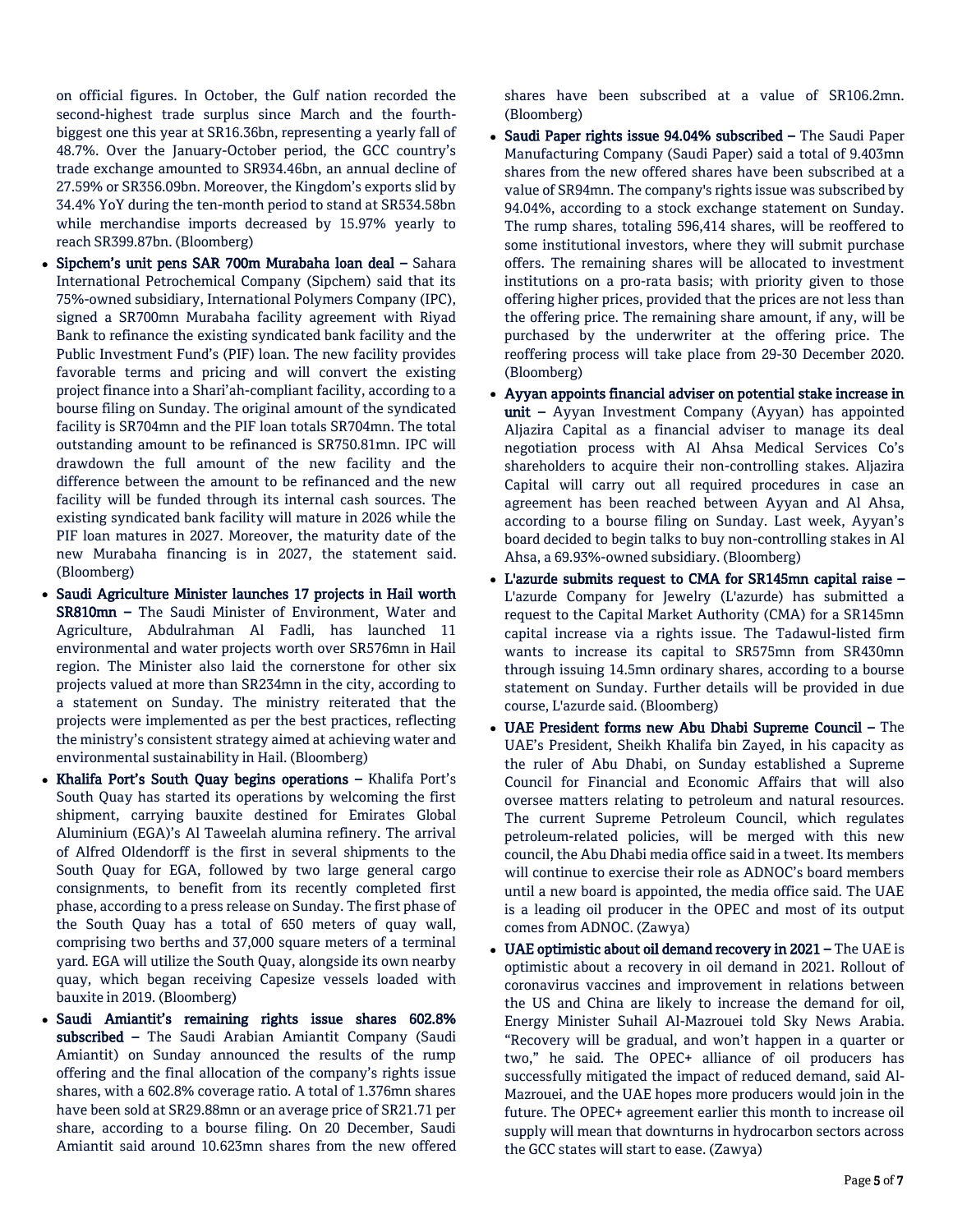on official figures. In October, the Gulf nation recorded the second-highest trade surplus since March and the fourthbiggest one this year at SR16.36bn, representing a yearly fall of 48.7%. Over the January-October period, the GCC country's trade exchange amounted to SR934.46bn, an annual decline of 27.59% or SR356.09bn. Moreover, the Kingdom's exports slid by 34.4% YoY during the ten-month period to stand at SR534.58bn while merchandise imports decreased by 15.97% yearly to reach SR399.87bn. (Bloomberg)

- Sipchem's unit pens SAR 700m Murabaha loan deal Sahara International Petrochemical Company (Sipchem) said that its 75%-owned subsidiary, International Polymers Company (IPC), signed a SR700mn Murabaha facility agreement with Riyad Bank to refinance the existing syndicated bank facility and the Public Investment Fund's (PIF) loan. The new facility provides favorable terms and pricing and will convert the existing project finance into a Shari'ah-compliant facility, according to a bourse filing on Sunday. The original amount of the syndicated facility is SR704mn and the PIF loan totals SR704mn. The total outstanding amount to be refinanced is SR750.81mn. IPC will drawdown the full amount of the new facility and the difference between the amount to be refinanced and the new facility will be funded through its internal cash sources. The existing syndicated bank facility will mature in 2026 while the PIF loan matures in 2027. Moreover, the maturity date of the new Murabaha financing is in 2027, the statement said. (Bloomberg)
- Saudi Agriculture Minister launches 17 projects in Hail worth SR810mn – The Saudi Minister of Environment, Water and Agriculture, Abdulrahman Al Fadli, has launched 11 environmental and water projects worth over SR576mn in Hail region. The Minister also laid the cornerstone for other six projects valued at more than SR234mn in the city, according to a statement on Sunday. The ministry reiterated that the projects were implemented as per the best practices, reflecting the ministry's consistent strategy aimed at achieving water and environmental sustainability in Hail. (Bloomberg)
- Khalifa Port's South Quay begins operations Khalifa Port's South Quay has started its operations by welcoming the first shipment, carrying bauxite destined for Emirates Global Aluminium (EGA)'s Al Taweelah alumina refinery. The arrival of Alfred Oldendorff is the first in several shipments to the South Quay for EGA, followed by two large general cargo consignments, to benefit from its recently completed first phase, according to a press release on Sunday. The first phase of the South Quay has a total of 650 meters of quay wall, comprising two berths and 37,000 square meters of a terminal yard. EGA will utilize the South Quay, alongside its own nearby quay, which began receiving Capesize vessels loaded with bauxite in 2019. (Bloomberg)
- Saudi Amiantit's remaining rights issue shares 602.8% subscribed – The Saudi Arabian Amiantit Company (Saudi Amiantit) on Sunday announced the results of the rump offering and the final allocation of the company's rights issue shares, with a 602.8% coverage ratio. A total of 1.376mn shares have been sold at SR29.88mn or an average price of SR21.71 per share, according to a bourse filing. On 20 December, Saudi Amiantit said around 10.623mn shares from the new offered

shares have been subscribed at a value of SR106.2mn. (Bloomberg)

- Saudi Paper rights issue 94.04% subscribed The Saudi Paper Manufacturing Company (Saudi Paper) said a total of 9.403mn shares from the new offered shares have been subscribed at a value of SR94mn. The company's rights issue was subscribed by 94.04%, according to a stock exchange statement on Sunday. The rump shares, totaling 596,414 shares, will be reoffered to some institutional investors, where they will submit purchase offers. The remaining shares will be allocated to investment institutions on a pro-rata basis; with priority given to those offering higher prices, provided that the prices are not less than the offering price. The remaining share amount, if any, will be purchased by the underwriter at the offering price. The reoffering process will take place from 29-30 December 2020. (Bloomberg)
- Ayyan appoints financial adviser on potential stake increase in unit - Ayyan Investment Company (Ayyan) has appointed Aljazira Capital as a financial adviser to manage its deal negotiation process with Al Ahsa Medical Services Co's shareholders to acquire their non-controlling stakes. Aljazira Capital will carry out all required procedures in case an agreement has been reached between Ayyan and Al Ahsa, according to a bourse filing on Sunday. Last week, Ayyan's board decided to begin talks to buy non-controlling stakes in Al Ahsa, a 69.93%-owned subsidiary. (Bloomberg)
- L'azurde submits request to CMA for SR145mn capital raise L'azurde Company for Jewelry (L'azurde) has submitted a request to the Capital Market Authority (CMA) for a SR145mn capital increase via a rights issue. The Tadawul-listed firm wants to increase its capital to SR575mn from SR430mn through issuing 14.5mn ordinary shares, according to a bourse statement on Sunday. Further details will be provided in due course, L'azurde said. (Bloomberg)
- UAE President forms new Abu Dhabi Supreme Council The UAE's President, Sheikh Khalifa bin Zayed, in his capacity as the ruler of Abu Dhabi, on Sunday established a Supreme Council for Financial and Economic Affairs that will also oversee matters relating to petroleum and natural resources. The current Supreme Petroleum Council, which regulates petroleum-related policies, will be merged with this new council, the Abu Dhabi media office said in a tweet. Its members will continue to exercise their role as ADNOC's board members until a new board is appointed, the media office said. The UAE is a leading oil producer in the OPEC and most of its output comes from ADNOC. (Zawya)
- UAE optimistic about oil demand recovery in 2021 The UAE is optimistic about a recovery in oil demand in 2021. Rollout of coronavirus vaccines and improvement in relations between the US and China are likely to increase the demand for oil, Energy Minister Suhail Al-Mazrouei told Sky News Arabia. "Recovery will be gradual, and won't happen in a quarter or two," he said. The OPEC+ alliance of oil producers has successfully mitigated the impact of reduced demand, said Al-Mazrouei, and the UAE hopes more producers would join in the future. The OPEC+ agreement earlier this month to increase oil supply will mean that downturns in hydrocarbon sectors across the GCC states will start to ease. (Zawya)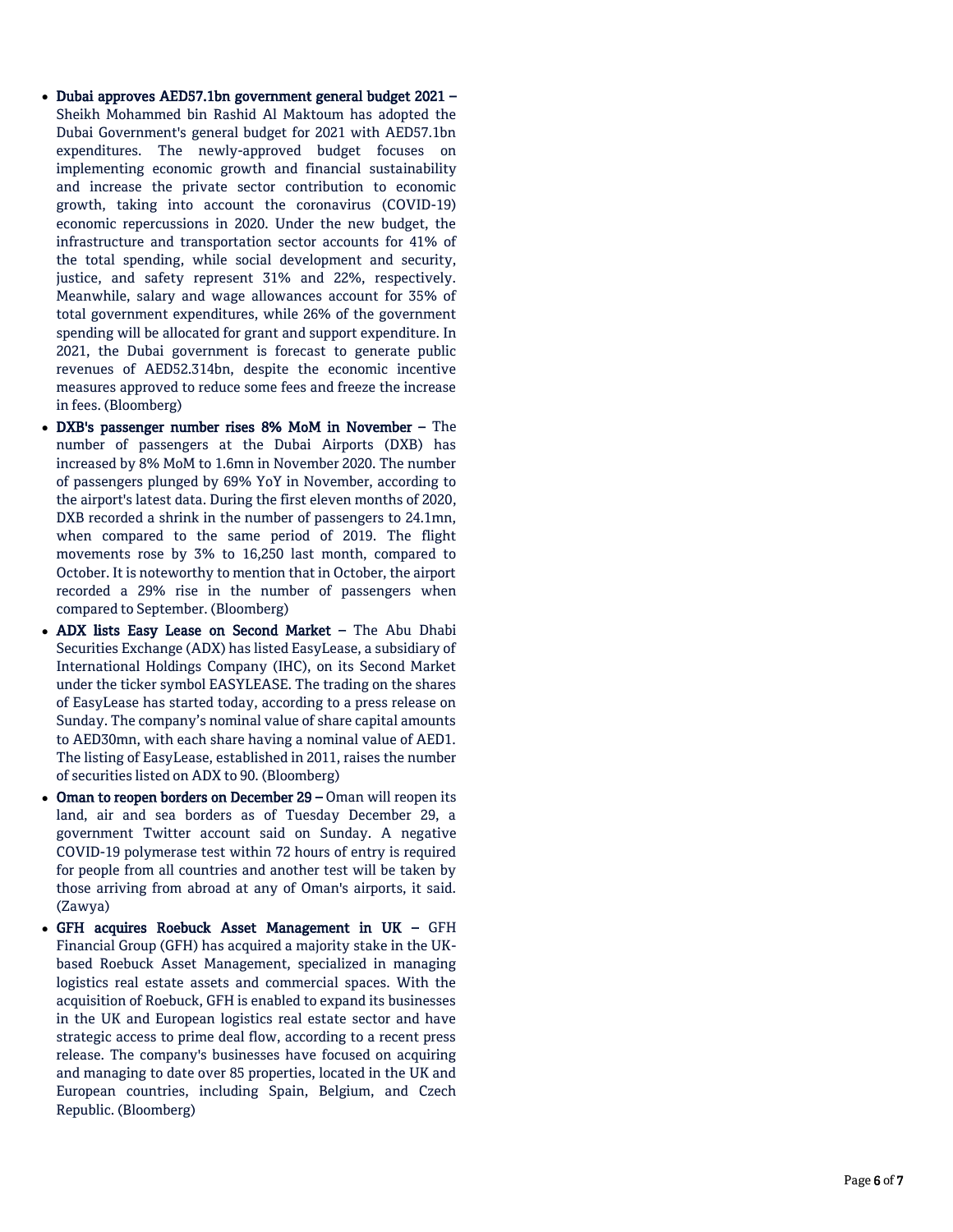- Dubai approves AED57.1bn government general budget 2021 Sheikh Mohammed bin Rashid Al Maktoum has adopted the Dubai Government's general budget for 2021 with AED57.1bn expenditures. The newly -approved budget focuses on implementing economic growth and financial sustainability and increase the private sector contribution to economic growth, taking into account the coronavirus (COVID -19) economic repercussions in 2020. Under the new budget, the infrastructure and transportation sector accounts for 41% of the total spending, while social development and security, justice, and safety represent 31% and 22%, respectively. Meanwhile, salary and wage allowances account for 35% of total government expenditures, while 26% of the government spending will be allocated for grant and support expenditure. In 2021, the Dubai government is forecast to generate public revenues of AED52.314bn, despite the economic incentive measures approved to reduce some fees and freeze the increase in fees. (Bloomberg)
- DXB's passenger number rises 8% MoM in November The number of passengers at the Dubai Airports (DXB) has increased by 8% MoM to 1.6mn in November 2020. The number of passengers plunged by 69% YoY in November, according to the airport's latest data. During the first eleven months of 2020, DXB recorded a shrink in the number of passengers to 24.1mn, when compared to the same period of 2019. The flight movements rose by 3% to 16,250 last month, compared to October. It is noteworthy to mention that in October, the airport recorded a 29% rise in the number of passengers when compared to September. (Bloomberg)
- ADX lists Easy Lease on Second Market The Abu Dhabi Securities Exchange (ADX) has listed EasyLease, a subsidiary of International Holdings Company (IHC), on its Second Market under the ticker symbol EASYLEASE. The trading on the shares of EasyLease has started today, according to a press release on Sunday. The company's nominal value of share capital amounts to AED30mn, with each share having a nominal value of AED1. The listing of EasyLease, established in 2011, raises the number of securities listed on ADX to 90. (Bloomberg)
- Oman to reopen borders on December 29 Oman will reopen its land, air and sea borders as of Tuesday December 29, a government Twitter account said on Sunday. A negative COVID -19 polymerase test within 72 hours of entry is required for people from all countries and another test will be taken by those arriving from abroad at any of Oman's airports, it said. (Zawya)
- GFH acquires Roebuck Asset Management in UK GFH Financial Group (GFH) has acquired a majority stake in the UK based Roebuck Asset Management, specialized in managing logistics real estate assets and commercial spaces. With the acquisition of Roebuck, GFH is enabled to expand its businesses in the UK and European logistics real estate sector and have strategic access to prime deal flow, according to a recent press release. The company's businesses have focused on acquiring and managing to date over 85 properties, located in the UK and European countries, including Spain, Belgium, and Czech Republic. (Bloomberg)